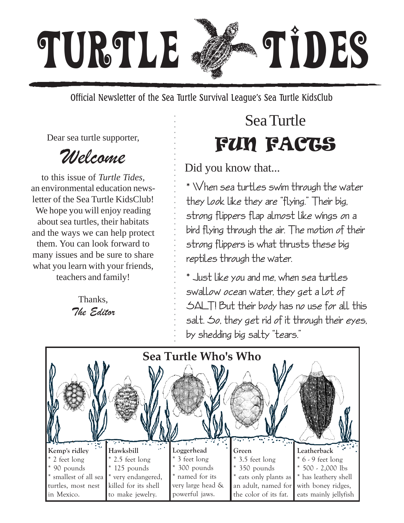

Official Newsletter of the Sea Turtle Survival League's Sea Turtle KidsClub

○○○○○○○○○○○○○○○○○○○○○○

Dear sea turtle supporter,

*Welcome*

to this issue of *Turtle Tides,* an environmental education newsletter of the Sea Turtle KidsClub! We hope you will enjoy reading about sea turtles, their habitats and the ways we can help protect them. You can look forward to many issues and be sure to share what you learn with your friends, teachers and family!

Thanks, *The Editor*

## Sea Turtle FUN FACTS

Did you know that...

\* When sea turtles swim through the water they look like they are "flying." Their big, strong flippers flap almost like wings on a bird flying through the air. The motion of their strong flippers is what thrusts these big reptiles through the water.

\* Just like you and me, when sea turtles swallow ocean water, they get a lot of SALT! But their body has no use for all this salt. So, they get rid of it through their eyes, by shedding big salty "tears."

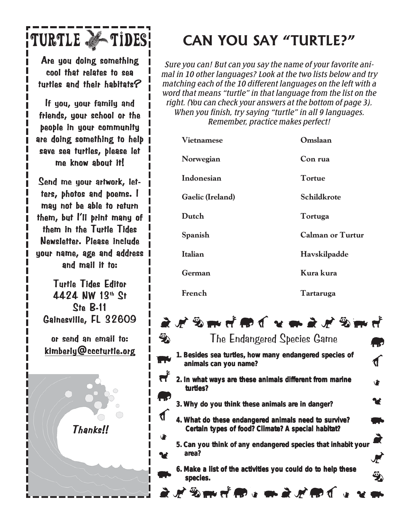

Are you doing something cool that relates to sea turtles and their habitats?

If you, your family and friends, your school or the people in your community are doing something to help save sea turtles, please let me know about it!

Send me your artwork, letters, photos and poems. I may not be able to return them, but I'll print many of them in the Turtle Tides Newsletter. Please include your name, age and address and mail it to:

**Turtle Tides Editor** 4424 NW 13th St  $Ste$  B-11 Gainesville, FL 32609

or send an email to: kimberly@cccturtle.org kimberly@cccturtle.org



## **CAN YOU SAY "TURTLE?"**

*Sure you can! But can you say the name of your favorite animal in 10 other languages? Look at the two lists below and try matching each of the 10 different languages on the left with a word that means "turtle" in that language from the list on the right. (You can check your answers at the bottom of page 3). When you finish, try saying "turtle" in all 9 languages. Remember, practice makes perfect!*

| Vietnamese       | Omslaan                 |
|------------------|-------------------------|
| Norwegian        | Con rua                 |
| Indonesian       | Tortue                  |
| Gaelic (Ireland) | <b>Schildkrote</b>      |
| Dutch            | Tortuga                 |
| Spanish          | <b>Calman or Turtur</b> |
| <b>Italian</b>   | Havskilpadde            |
| German           | Kura kura               |
| French           | Tartaruga               |

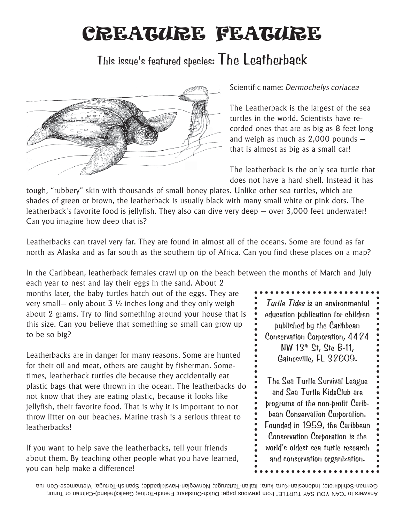## CREATURE FEATURE

## This issue's featured species: The Leatherback



Scientific name: Dermochelys coriacea

The Leatherback is the largest of the sea turtles in the world. Scientists have recorded ones that are as big as 8 feet long and weigh as much as 2,000 pounds that is almost as big as a small car!

The leatherback is the only sea turtle that does not have a hard shell. Instead it has

tough, "rubbery" skin with thousands of small boney plates. Unlike other sea turtles, which are shades of green or brown, the leatherback is usually black with many small white or pink dots. The leatherback's favorite food is jellyfish. They also can dive very deep — over 3,000 feet underwater! Can you imagine how deep that is?

Leatherbacks can travel very far. They are found in almost all of the oceans. Some are found as far north as Alaska and as far south as the southern tip of Africa. Can you find these places on a map?

In the Caribbean, leatherback females crawl up on the beach between the months of March and July

each year to nest and lay their eggs in the sand. About 2 months later, the baby turtles hatch out of the eggs. They are very small— only about  $3\frac{1}{2}$  inches long and they only weigh about 2 grams. Try to find something around your house that is this size. Can you believe that something so small can grow up to be so big?

Leatherbacks are in danger for many reasons. Some are hunted for their oil and meat, others are caught by fisherman. Sometimes, leatherback turtles die because they accidentally eat plastic bags that were thrown in the ocean. The leatherbacks do not know that they are eating plastic, because it looks like jellyfish, their favorite food. That is why it is important to not throw litter on our beaches. Marine trash is a serious threat to leatherbacks!

If you want to help save the leatherbacks, tell your friends about them. By teaching other people what you have learned, you can help make a difference!

Turtle Tides is an environmental education publication for children published by the Caribbean Conservation Corporation, 4424 NW  $13<sup>th</sup>$  St, Ste B-11, Gainesville, FL 32609.

The Sea Turtle Survival League and Sea Turtle KidsClub are programs of the non-profit Caribbean Conservation Corporation. Founded in 1959, the Caribbean Conservation Corporation is the world's oldest sea turtle research and conservation organization.

Answers to "CAN YOU SAY TURTLE" from previous page: Dutch-Omslaan; French-Tortue; Gaelic(lreland)-Calman or Turtur; German-Schildkrote; Indonesian-Kura kura; Italian-Tartaruga; Norwegian-Havskilpadde; Spanish-Tortuga; Vietnamese-Con rua